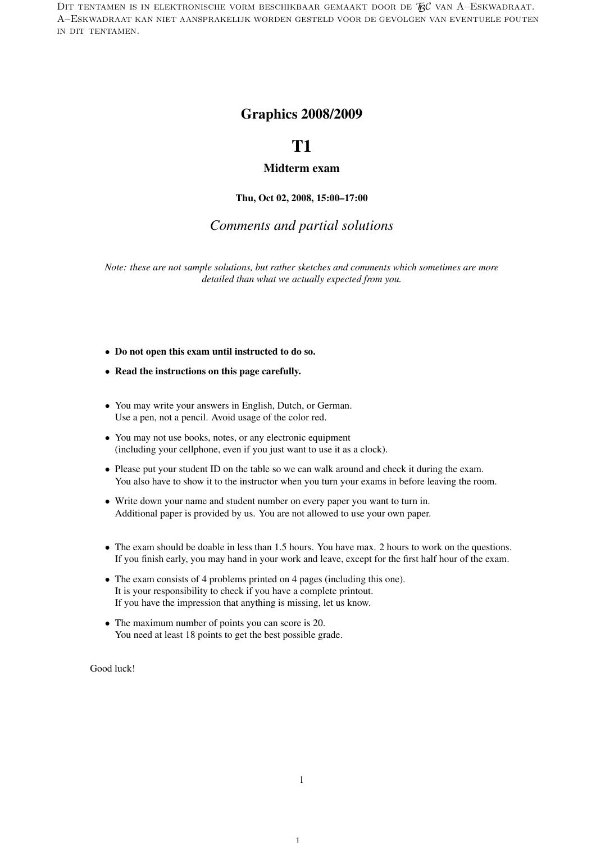DIT TENTAMEN IS IN ELEKTRONISCHE VORM BESCHIKBAAR GEMAAKT DOOR DE  $\mathcal{F}\mathcal{C}$  van A–Eskwadraat. A–Eskwadraat kan niet aansprakelijk worden gesteld voor de gevolgen van eventuele fouten in dit tentamen.

## Graphics 2008/2009

# T1

### Midterm exam

Thu, Oct 02, 2008, 15:00–17:00

### *Comments and partial solutions*

*Note: these are not sample solutions, but rather sketches and comments which sometimes are more detailed than what we actually expected from you.*

- Do not open this exam until instructed to do so.
- Read the instructions on this page carefully.
- You may write your answers in English, Dutch, or German. Use a pen, not a pencil. Avoid usage of the color red.
- You may not use books, notes, or any electronic equipment (including your cellphone, even if you just want to use it as a clock).
- Please put your student ID on the table so we can walk around and check it during the exam. You also have to show it to the instructor when you turn your exams in before leaving the room.
- Write down your name and student number on every paper you want to turn in. Additional paper is provided by us. You are not allowed to use your own paper.
- The exam should be doable in less than 1.5 hours. You have max. 2 hours to work on the questions. If you finish early, you may hand in your work and leave, except for the first half hour of the exam.
- The exam consists of 4 problems printed on 4 pages (including this one). It is your responsibility to check if you have a complete printout. If you have the impression that anything is missing, let us know.
- The maximum number of points you can score is 20. You need at least 18 points to get the best possible grade.

Good luck!

1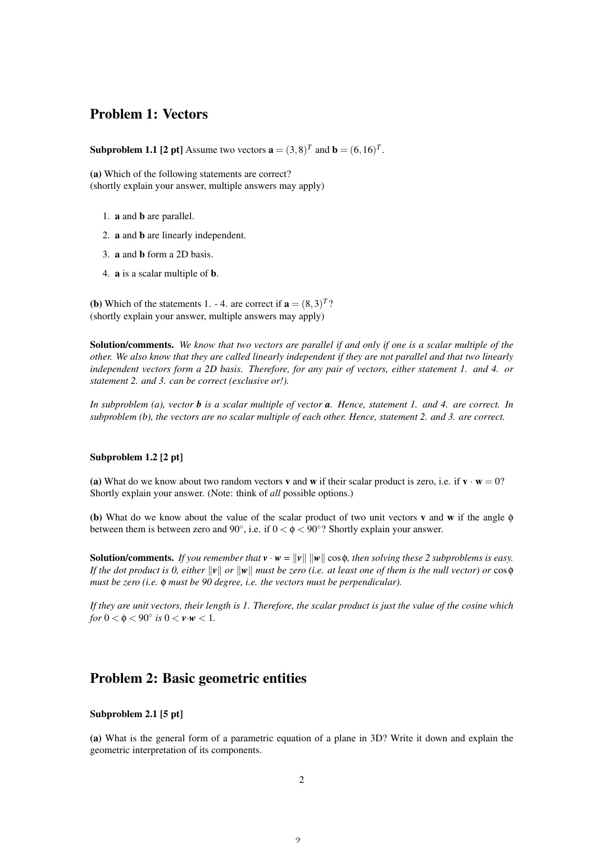## Problem 1: Vectors

**Subproblem 1.1 [2 pt]** Assume two vectors  $\mathbf{a} = (3,8)^T$  and  $\mathbf{b} = (6,16)^T$ .

(a) Which of the following statements are correct? (shortly explain your answer, multiple answers may apply)

- 1. a and b are parallel.
- 2. a and b are linearly independent.
- 3. a and b form a 2D basis.
- 4. a is a scalar multiple of b.

**(b)** Which of the statements 1. - 4. are correct if  $\mathbf{a} = (8,3)^{T}$ ? (shortly explain your answer, multiple answers may apply)

Solution/comments. *We know that two vectors are parallel if and only if one is a scalar multiple of the other. We also know that they are called linearly independent if they are not parallel and that two linearly independent vectors form a 2D basis. Therefore, for any pair of vectors, either statement 1. and 4. or statement 2. and 3. can be correct (exclusive or!).*

*In subproblem (a), vector b is a scalar multiple of vector a. Hence, statement 1. and 4. are correct. In subproblem (b), the vectors are no scalar multiple of each other. Hence, statement 2. and 3. are correct.*

#### Subproblem 1.2 [2 pt]

(a) What do we know about two random vectors **v** and **w** if their scalar product is zero, i.e. if  $\mathbf{v} \cdot \mathbf{w} = 0$ ? Shortly explain your answer. (Note: think of *all* possible options.)

(b) What do we know about the value of the scalar product of two unit vectors v and w if the angle φ between them is between zero and  $90^{\circ}$ , i.e. if  $0 < \phi < 90^{\circ}$ ? Shortly explain your answer.

**Solution/comments.** *If you remember that*  $\mathbf{v} \cdot \mathbf{w} = ||\mathbf{v}|| ||\mathbf{w}|| \cos \phi$ , then solving these 2 subproblems is easy. *If the dot product is 0, either*  $\|v\|$  *or*  $\|w\|$  *must be zero (i.e. at least one of them is the null vector) or* cos $\phi$ *must be zero (i.e.* φ *must be 90 degree, i.e. the vectors must be perpendicular).*

*If they are unit vectors, their length is 1. Therefore, the scalar product is just the value of the cosine which for*  $0 < \phi < 90^{\circ}$  *is*  $0 < \nu \cdot w < 1$ *.* 

### Problem 2: Basic geometric entities

#### Subproblem 2.1 [5 pt]

(a) What is the general form of a parametric equation of a plane in 3D? Write it down and explain the geometric interpretation of its components.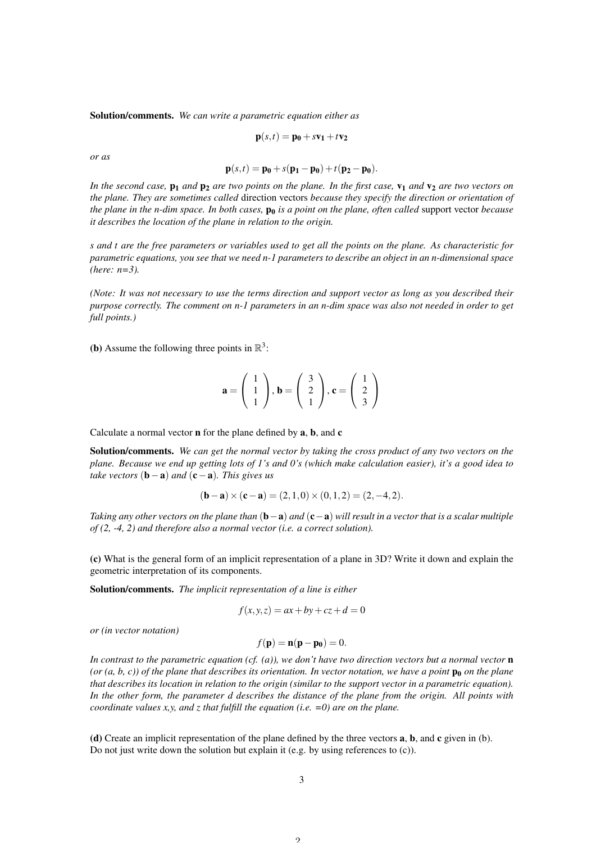Solution/comments. *We can write a parametric equation either as*

$$
\mathbf{p}(s,t) = \mathbf{p_0} + s\mathbf{v_1} + t\mathbf{v_2}
$$

*or as*

$$
\mathbf{p}(s,t) = \mathbf{p_0} + s(\mathbf{p_1} - \mathbf{p_0}) + t(\mathbf{p_2} - \mathbf{p_0})
$$

*In the second case,*  $p_1$  *and*  $p_2$  *are two points on the plane. In the first case,*  $v_1$  *and*  $v_2$  *are two vectors on the plane. They are sometimes called* direction vectors *because they specify the direction or orientation of the plane in the n-dim space. In both cases,*  $\mathbf{p}_0$  *is a point on the plane, often called* support vector *because it describes the location of the plane in relation to the origin.*

*s and t are the free parameters or variables used to get all the points on the plane. As characteristic for parametric equations, you see that we need n-1 parameters to describe an object in an n-dimensional space (here: n=3).*

*(Note: It was not necessary to use the terms direction and support vector as long as you described their purpose correctly. The comment on n-1 parameters in an n-dim space was also not needed in order to get full points.)*

(**b**) Assume the following three points in  $\mathbb{R}^3$ :

$$
\mathbf{a} = \left(\begin{array}{c} 1\\1\\1 \end{array}\right), \mathbf{b} = \left(\begin{array}{c} 3\\2\\1 \end{array}\right), \mathbf{c} = \left(\begin{array}{c} 1\\2\\3 \end{array}\right)
$$

Calculate a normal vector n for the plane defined by a, b, and c

Solution/comments. *We can get the normal vector by taking the cross product of any two vectors on the plane. Because we end up getting lots of 1's and 0's (which make calculation easier), it's a good idea to take vectors* (b−a) *and* (c−a)*. This gives us*

$$
(\mathbf{b} - \mathbf{a}) \times (\mathbf{c} - \mathbf{a}) = (2, 1, 0) \times (0, 1, 2) = (2, -4, 2).
$$

*Taking any other vectors on the plane than* (**b**−**a**) *and* (**c**−**a**) *will result in a vector that is a scalar multiple of (2, -4, 2) and therefore also a normal vector (i.e. a correct solution).*

(c) What is the general form of an implicit representation of a plane in 3D? Write it down and explain the geometric interpretation of its components.

Solution/comments. *The implicit representation of a line is either*

$$
f(x, y, z) = ax + by + cz + d = 0
$$

*or (in vector notation)*

 $f(\mathbf{p}) = \mathbf{n}(\mathbf{p} - \mathbf{p_0}) = 0.$ 

*In contrast to the parametric equation (cf. (a)), we don't have two direction vectors but a normal vector* n  $(or (a, b, c))$  of the plane that describes its orientation. In vector notation, we have a point  $\mathbf{p}_0$  on the plane *that describes its location in relation to the origin (similar to the support vector in a parametric equation). In the other form, the parameter d describes the distance of the plane from the origin. All points with coordinate values x,y, and z that fulfill the equation (i.e. =0) are on the plane.*

(d) Create an implicit representation of the plane defined by the three vectors a, b, and c given in (b). Do not just write down the solution but explain it (e.g. by using references to (c)).

 $\Omega$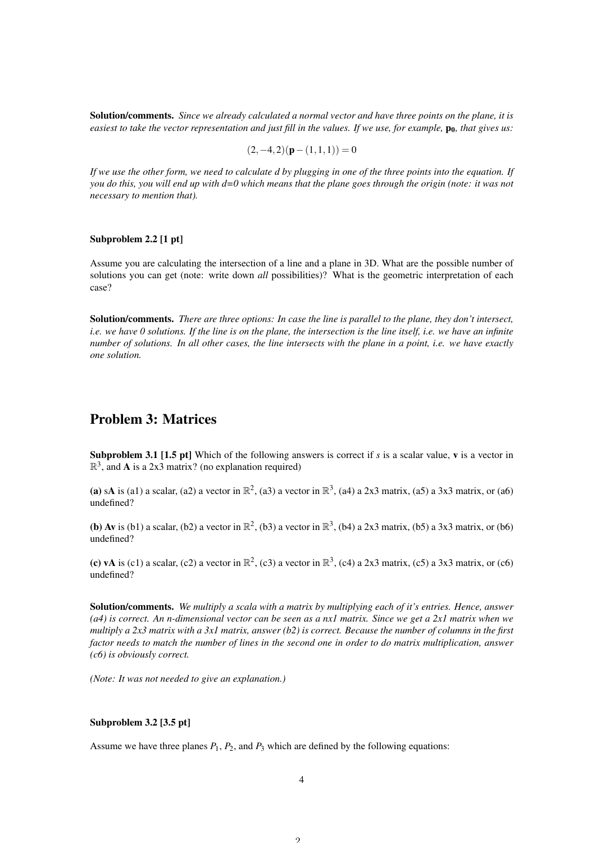Solution/comments. *Since we already calculated a normal vector and have three points on the plane, it is easiest to take the vector representation and just fill in the values. If we use, for example,*  $p_0$ *, that gives us:* 

$$
(2,-4,2)(p-(1,1,1)) = 0
$$

*If we use the other form, we need to calculate d by plugging in one of the three points into the equation. If you do this, you will end up with d=0 which means that the plane goes through the origin (note: it was not necessary to mention that).*

#### Subproblem 2.2 [1 pt]

Assume you are calculating the intersection of a line and a plane in 3D. What are the possible number of solutions you can get (note: write down *all* possibilities)? What is the geometric interpretation of each case?

Solution/comments. *There are three options: In case the line is parallel to the plane, they don't intersect, i.e. we have 0 solutions. If the line is on the plane, the intersection is the line itself, i.e. we have an infinite number of solutions. In all other cases, the line intersects with the plane in a point, i.e. we have exactly one solution.*

# Problem 3: Matrices

Subproblem 3.1 [1.5 pt] Which of the following answers is correct if *s* is a scalar value, v is a vector in  $\mathbb{R}^3$ , and **A** is a 2x3 matrix? (no explanation required)

(a) sA is (a1) a scalar, (a2) a vector in  $\mathbb{R}^2$ , (a3) a vector in  $\mathbb{R}^3$ , (a4) a 2x3 matrix, (a5) a 3x3 matrix, or (a6) undefined?

(b) Av is (b1) a scalar, (b2) a vector in  $\mathbb{R}^2$ , (b3) a vector in  $\mathbb{R}^3$ , (b4) a 2x3 matrix, (b5) a 3x3 matrix, or (b6) undefined?

(c) vA is (c1) a scalar, (c2) a vector in  $\mathbb{R}^2$ , (c3) a vector in  $\mathbb{R}^3$ , (c4) a 2x3 matrix, (c5) a 3x3 matrix, or (c6) undefined?

Solution/comments. *We multiply a scala with a matrix by multiplying each of it's entries. Hence, answer (a4) is correct. An n-dimensional vector can be seen as a nx1 matrix. Since we get a 2x1 matrix when we multiply a 2x3 matrix with a 3x1 matrix, answer (b2) is correct. Because the number of columns in the first factor needs to match the number of lines in the second one in order to do matrix multiplication, answer (c6) is obviously correct.*

*(Note: It was not needed to give an explanation.)*

### Subproblem 3.2 [3.5 pt]

Assume we have three planes  $P_1$ ,  $P_2$ , and  $P_3$  which are defined by the following equations: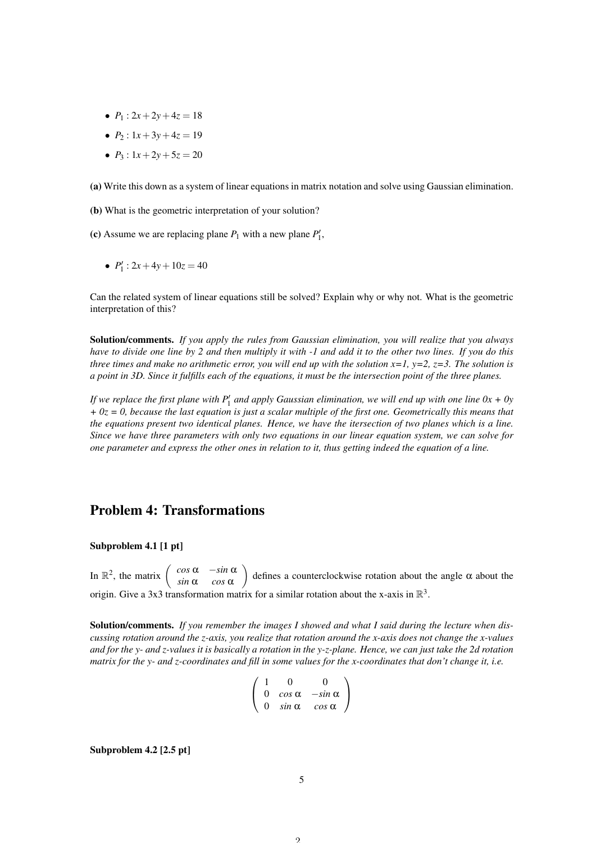- $P_1$  :  $2x + 2y + 4z = 18$
- $P_2$ :  $1x + 3y + 4z = 19$
- $P_3$ :  $1x + 2y + 5z = 20$

(a) Write this down as a system of linear equations in matrix notation and solve using Gaussian elimination.

(b) What is the geometric interpretation of your solution?

(c) Assume we are replacing plane  $P_1$  with a new plane  $P'_1$ ,

•  $P'_1$  :  $2x + 4y + 10z = 40$ 

Can the related system of linear equations still be solved? Explain why or why not. What is the geometric interpretation of this?

Solution/comments. *If you apply the rules from Gaussian elimination, you will realize that you always have to divide one line by 2 and then multiply it with -1 and add it to the other two lines. If you do this three times and make no arithmetic error, you will end up with the solution*  $x=1$ *,*  $y=2$ *,*  $z=3$ *. The solution is a point in 3D. Since it fulfills each of the equations, it must be the intersection point of the three planes.*

If we replace the first plane with  $P'_1$  and apply Gaussian elimination, we will end up with one line  $0x + 0y$ *+ 0z = 0, because the last equation is just a scalar multiple of the first one. Geometrically this means that the equations present two identical planes. Hence, we have the itersection of two planes which is a line. Since we have three parameters with only two equations in our linear equation system, we can solve for one parameter and express the other ones in relation to it, thus getting indeed the equation of a line.*

### Problem 4: Transformations

Subproblem 4.1 [1 pt]

In  $\mathbb{R}^2$ , the matrix  $\begin{pmatrix} \cos \alpha & -\sin \alpha \\ \sin \alpha & \cos \alpha \end{pmatrix}$ *sin* α *cos* α defines a counterclockwise rotation about the angle  $\alpha$  about the origin. Give a 3x3 transformation matrix for a similar rotation about the x-axis in  $\mathbb{R}^3$ .

Solution/comments. *If you remember the images I showed and what I said during the lecture when discussing rotation around the z-axis, you realize that rotation around the x-axis does not change the x-values and for the y- and z-values it is basically a rotation in the y-z-plane. Hence, we can just take the 2d rotation matrix for the y- and z-coordinates and fill in some values for the x-coordinates that don't change it, i.e.*

$$
\left(\begin{array}{ccc}\n1 & 0 & 0 \\
0 & \cos \alpha & -\sin \alpha \\
0 & \sin \alpha & \cos \alpha\n\end{array}\right)
$$

Subproblem 4.2 [2.5 pt]

 $\Omega$